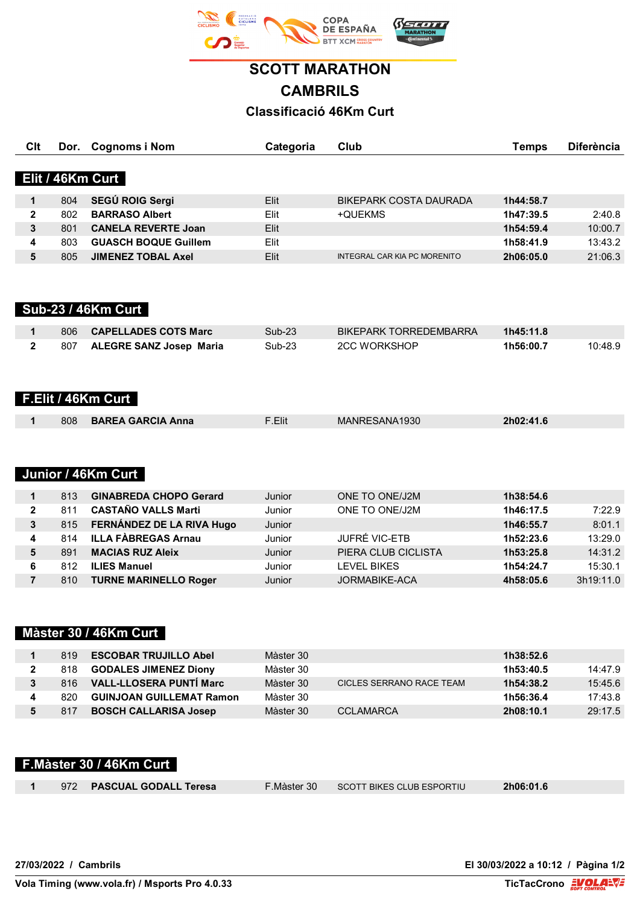

**SCOTT MARATHON CAMBRILS Classificació 46Km Curt**

| Clt            | Dor. | <b>Cognoms i Nom</b>           | Categoria     | Club                          | <b>Temps</b> | <b>Diferència</b> |
|----------------|------|--------------------------------|---------------|-------------------------------|--------------|-------------------|
|                |      |                                |               |                               |              |                   |
|                |      | Elit / 46Km Curt               |               |                               |              |                   |
| $\mathbf 1$    | 804  | SEGÚ ROIG Sergi                | Elit          | <b>BIKEPARK COSTA DAURADA</b> | 1h44:58.7    |                   |
| $\mathbf 2$    | 802  | <b>BARRASO Albert</b>          | Elit          | +QUEKMS                       | 1h47:39.5    | 2:40.8            |
| 3              | 801  | <b>CANELA REVERTE Joan</b>     | Elit          |                               | 1h54:59.4    | 10:00.7           |
| 4              | 803  | <b>GUASCH BOQUE Guillem</b>    | Elit          |                               | 1h58:41.9    | 13:43.2           |
| 5              | 805  | <b>JIMENEZ TOBAL Axel</b>      | Elit          | INTEGRAL CAR KIA PC MORENITO  | 2h06:05.0    | 21:06.3           |
|                |      |                                |               |                               |              |                   |
|                |      |                                |               |                               |              |                   |
|                |      | <b>Sub-23 / 46Km Curt</b>      |               |                               |              |                   |
|                |      |                                |               |                               |              |                   |
| $\mathbf 1$    | 806  | <b>CAPELLADES COTS Marc</b>    | <b>Sub-23</b> | BIKEPARK TORREDEMBARRA        | 1h45:11.8    |                   |
| $\mathbf{2}$   | 807  | <b>ALEGRE SANZ Josep Maria</b> | <b>Sub-23</b> | <b>2CC WORKSHOP</b>           | 1h56:00.7    | 10:48.9           |
|                |      |                                |               |                               |              |                   |
|                |      |                                |               |                               |              |                   |
|                |      | F.Elit / 46Km Curt             |               |                               |              |                   |
|                |      |                                |               |                               |              |                   |
| 1              | 808  | <b>BAREA GARCIA Anna</b>       | F.Elit        | MANRESANA1930                 | 2h02:41.6    |                   |
|                |      |                                |               |                               |              |                   |
|                |      |                                |               |                               |              |                   |
|                |      |                                |               |                               |              |                   |
|                |      | Junior / 46Km Curt             |               |                               |              |                   |
| $\mathbf{1}$   | 813  | <b>GINABREDA CHOPO Gerard</b>  | Junior        | ONE TO ONE/J2M                | 1h38:54.6    |                   |
| $\mathbf 2$    | 811  | <b>CASTAÑO VALLS Marti</b>     | Junior        | ONE TO ONE/J2M                | 1h46:17.5    | 7:22.9            |
| 3              | 815  | FERNÁNDEZ DE LA RIVA Hugo      | Junior        |                               | 1h46:55.7    | 8:01.1            |
| 4              | 814  | <b>ILLA FÀBREGAS Arnau</b>     | Junior        | JUFRÉ VIC-ETB                 | 1h52:23.6    | 13:29.0           |
| 5              | 891  | <b>MACIAS RUZ Aleix</b>        | Junior        | PIERA CLUB CICLISTA           | 1h53:25.8    | 14:31.2           |
| 6              | 812  | <b>ILIES Manuel</b>            | Junior        | <b>LEVEL BIKES</b>            | 1h54:24.7    | 15:30.1           |
| $\overline{7}$ | 810  | <b>TURNE MARINELLO Roger</b>   | Junior        | JORMABIKE-ACA                 | 4h58:05.6    | 3h19:11.0         |
|                |      |                                |               |                               |              |                   |
|                |      |                                |               |                               |              |                   |
|                |      | Màster 30 / 46Km Curt          |               |                               |              |                   |
|                |      |                                |               |                               |              |                   |

| 819 | <b>ESCOBAR TRUJILLO Abel</b>    | Màster 30 |                          | 1h38:52.6 |         |
|-----|---------------------------------|-----------|--------------------------|-----------|---------|
| 818 | <b>GODALES JIMENEZ Diony</b>    | Màster 30 |                          | 1h53:40.5 | 14:47.9 |
| 816 | <b>VALL-LLOSERA PUNTI Marc</b>  | Màster 30 | CICLES SERRANO RACE TEAM | 1h54:38.2 | 15:45.6 |
| 820 | <b>GUINJOAN GUILLEMAT Ramon</b> | Màster 30 |                          | 1h56:36.4 | 17:43.8 |
| 817 | <b>BOSCH CALLARISA Josep</b>    | Màster 30 | CCLAMARCA                | 2h08:10.1 | 29:17.5 |

|  | F.Màster 30 / 46Km Curt   |             |                                                         |           |  |
|--|---------------------------|-------------|---------------------------------------------------------|-----------|--|
|  | 972 PASCUAL GODALL Teresa | F.Màster 30 | $\blacksquare$ SCOTT BIKES CLUB ESPORTIU $\blacksquare$ | 2h06:01.6 |  |

**27/03/2022 / Cambrils El 30/03/2022 a 10:12 / Pàgina 1/2**